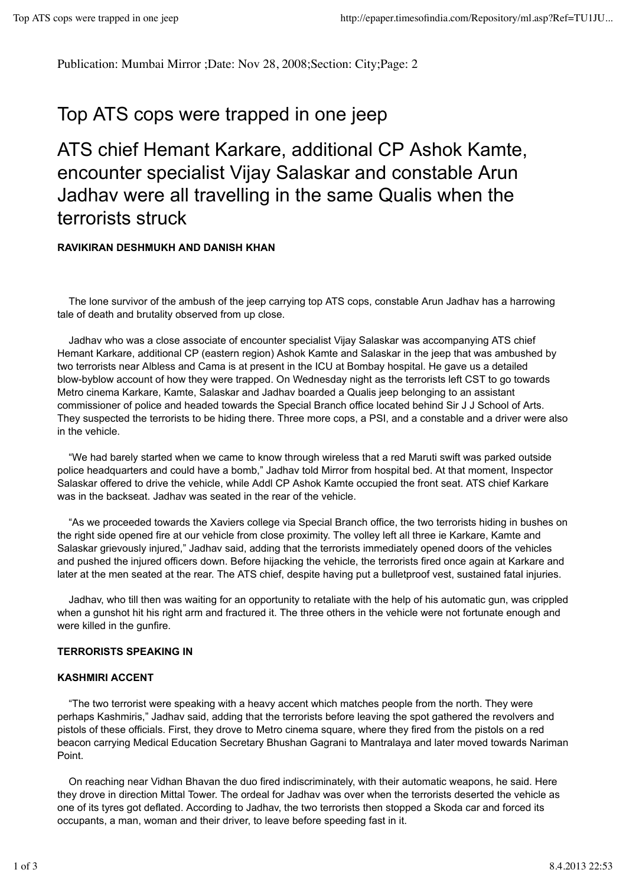Publication: Mumbai Mirror ;Date: Nov 28, 2008;Section: City;Page: 2

# Top ATS cops were trapped in one jeep

# ATS chief Hemant Karkare, additional CP Ashok Kamte, encounter specialist Vijay Salaskar and constable Arun Jadhav were all travelling in the same Qualis when the terrorists struck

# **RAVIKIRAN DESHMUKH AND DANISH KHAN**

 The lone survivor of the ambush of the jeep carrying top ATS cops, constable Arun Jadhav has a harrowing tale of death and brutality observed from up close.

 Jadhav who was a close associate of encounter specialist Vijay Salaskar was accompanying ATS chief Hemant Karkare, additional CP (eastern region) Ashok Kamte and Salaskar in the jeep that was ambushed by two terrorists near Albless and Cama is at present in the ICU at Bombay hospital. He gave us a detailed blow-byblow account of how they were trapped. On Wednesday night as the terrorists left CST to go towards Metro cinema Karkare, Kamte, Salaskar and Jadhav boarded a Qualis jeep belonging to an assistant commissioner of police and headed towards the Special Branch office located behind Sir J J School of Arts. They suspected the terrorists to be hiding there. Three more cops, a PSI, and a constable and a driver were also in the vehicle.

 "We had barely started when we came to know through wireless that a red Maruti swift was parked outside police headquarters and could have a bomb," Jadhav told Mirror from hospital bed. At that moment, Inspector Salaskar offered to drive the vehicle, while Addl CP Ashok Kamte occupied the front seat. ATS chief Karkare was in the backseat. Jadhav was seated in the rear of the vehicle.

 "As we proceeded towards the Xaviers college via Special Branch office, the two terrorists hiding in bushes on the right side opened fire at our vehicle from close proximity. The volley left all three ie Karkare, Kamte and Salaskar grievously injured," Jadhav said, adding that the terrorists immediately opened doors of the vehicles and pushed the injured officers down. Before hijacking the vehicle, the terrorists fired once again at Karkare and later at the men seated at the rear. The ATS chief, despite having put a bulletproof vest, sustained fatal injuries.

 Jadhav, who till then was waiting for an opportunity to retaliate with the help of his automatic gun, was crippled when a gunshot hit his right arm and fractured it. The three others in the vehicle were not fortunate enough and were killed in the gunfire.

#### **TERRORISTS SPEAKING IN**

#### **KASHMIRI ACCENT**

"The two terrorist were speaking with a heavy accent which matches people from the north. They were perhaps Kashmiris," Jadhav said, adding that the terrorists before leaving the spot gathered the revolvers and pistols of these officials. First, they drove to Metro cinema square, where they fired from the pistols on a red beacon carrying Medical Education Secretary Bhushan Gagrani to Mantralaya and later moved towards Nariman Point.

 On reaching near Vidhan Bhavan the duo fired indiscriminately, with their automatic weapons, he said. Here they drove in direction Mittal Tower. The ordeal for Jadhav was over when the terrorists deserted the vehicle as one of its tyres got deflated. According to Jadhav, the two terrorists then stopped a Skoda car and forced its occupants, a man, woman and their driver, to leave before speeding fast in it.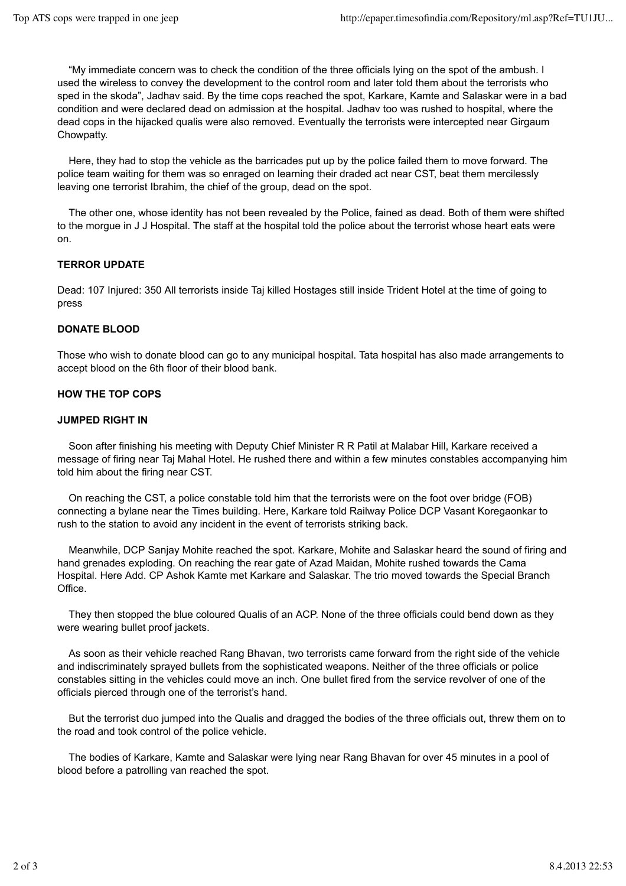"My immediate concern was to check the condition of the three officials lying on the spot of the ambush. I used the wireless to convey the development to the control room and later told them about the terrorists who sped in the skoda", Jadhav said. By the time cops reached the spot, Karkare, Kamte and Salaskar were in a bad condition and were declared dead on admission at the hospital. Jadhav too was rushed to hospital, where the dead cops in the hijacked qualis were also removed. Eventually the terrorists were intercepted near Girgaum Chowpatty.

 Here, they had to stop the vehicle as the barricades put up by the police failed them to move forward. The police team waiting for them was so enraged on learning their draded act near CST, beat them mercilessly leaving one terrorist Ibrahim, the chief of the group, dead on the spot.

 The other one, whose identity has not been revealed by the Police, fained as dead. Both of them were shifted to the morgue in J J Hospital. The staff at the hospital told the police about the terrorist whose heart eats were on.

# **TERROR UPDATE**

Dead: 107 Injured: 350 All terrorists inside Taj killed Hostages still inside Trident Hotel at the time of going to press

# **DONATE BLOOD**

Those who wish to donate blood can go to any municipal hospital. Tata hospital has also made arrangements to accept blood on the 6th floor of their blood bank.

# **HOW THE TOP COPS**

#### **JUMPED RIGHT IN**

Soon after finishing his meeting with Deputy Chief Minister R R Patil at Malabar Hill, Karkare received a message of firing near Taj Mahal Hotel. He rushed there and within a few minutes constables accompanying him told him about the firing near CST.

 On reaching the CST, a police constable told him that the terrorists were on the foot over bridge (FOB) connecting a bylane near the Times building. Here, Karkare told Railway Police DCP Vasant Koregaonkar to rush to the station to avoid any incident in the event of terrorists striking back.

 Meanwhile, DCP Sanjay Mohite reached the spot. Karkare, Mohite and Salaskar heard the sound of firing and hand grenades exploding. On reaching the rear gate of Azad Maidan, Mohite rushed towards the Cama Hospital. Here Add. CP Ashok Kamte met Karkare and Salaskar. The trio moved towards the Special Branch Office.

 They then stopped the blue coloured Qualis of an ACP. None of the three officials could bend down as they were wearing bullet proof jackets.

 As soon as their vehicle reached Rang Bhavan, two terrorists came forward from the right side of the vehicle and indiscriminately sprayed bullets from the sophisticated weapons. Neither of the three officials or police constables sitting in the vehicles could move an inch. One bullet fired from the service revolver of one of the officials pierced through one of the terrorist's hand.

 But the terrorist duo jumped into the Qualis and dragged the bodies of the three officials out, threw them on to the road and took control of the police vehicle.

 The bodies of Karkare, Kamte and Salaskar were lying near Rang Bhavan for over 45 minutes in a pool of blood before a patrolling van reached the spot.